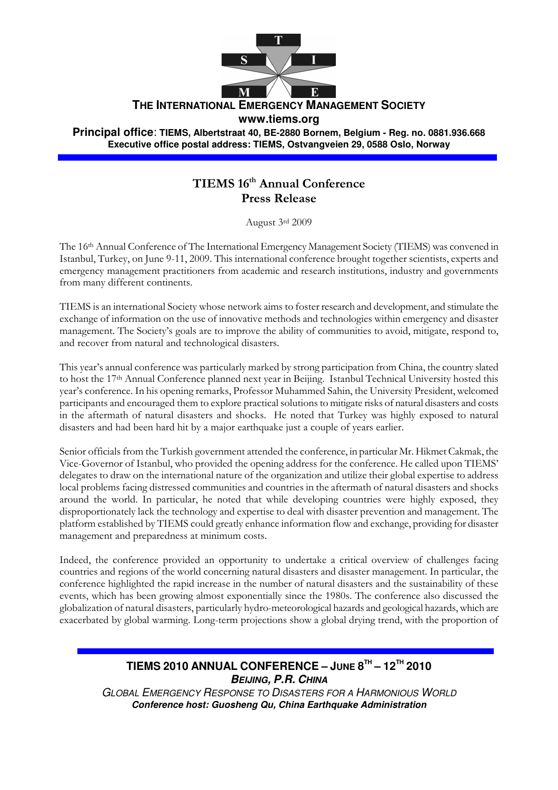

**THE INTERNATIONAL EMERGENCY MANAGEMENT SOCIETY**

**www.tiems.org** 

**Principal office**: **TIEMS, Albertstraat 40, BE-2880 Bornem, Belgium - Reg. no. 0881.936.668 Executive office postal address: TIEMS, Ostvangveien 29, 0588 Oslo, Norway**

## TIEMS 16th Annual Conference Press Release

August 3rd 2009

The 16th Annual Conference of The International Emergency Management Society (TIEMS) was convened in Istanbul, Turkey, on June 9-11, 2009. This international conference brought together scientists, experts and emergency management practitioners from academic and research institutions, industry and governments from many different continents.

TIEMS is an international Society whose network aims to foster research and development, and stimulate the exchange of information on the use of innovative methods and technologies within emergency and disaster management. The Society's goals are to improve the ability of communities to avoid, mitigate, respond to, and recover from natural and technological disasters.

This year's annual conference was particularly marked by strong participation from China, the country slated to host the 17th Annual Conference planned next year in Beijing. Istanbul Technical University hosted this year's conference. In his opening remarks, Professor Muhammed Sahin, the University President, welcomed participants and encouraged them to explore practical solutions to mitigate risks of natural disasters and costs in the aftermath of natural disasters and shocks. He noted that Turkey was highly exposed to natural disasters and had been hard hit by a major earthquake just a couple of years earlier.

Senior officials from the Turkish government attended the conference, in particular Mr. Hikmet Cakmak, the Vice-Governor of Istanbul, who provided the opening address for the conference. He called upon TIEMS' delegates to draw on the international nature of the organization and utilize their global expertise to address local problems facing distressed communities and countries in the aftermath of natural disasters and shocks around the world. In particular, he noted that while developing countries were highly exposed, they disproportionately lack the technology and expertise to deal with disaster prevention and management. The platform established by TIEMS could greatly enhance information flow and exchange, providing for disaster management and preparedness at minimum costs.

Indeed, the conference provided an opportunity to undertake a critical overview of challenges facing countries and regions of the world concerning natural disasters and disaster management. In particular, the conference highlighted the rapid increase in the number of natural disasters and the sustainability of these events, which has been growing almost exponentially since the 1980s. The conference also discussed the globalization of natural disasters, particularly hydro-meteorological hazards and geological hazards, which are exacerbated by global warming. Long-term projections show a global drying trend, with the proportion of

## **TIEMS 2010 ANNUAL CONFERENCE – JUNE 8 TH – 12TH 2010 BEIJING, P.R. CHINA**

GLOBAL EMERGENCY RESPONSE TO DISASTERS FOR A HARMONIOUS WORLD **Conference host: Guosheng Qu, China Earthquake Administration**